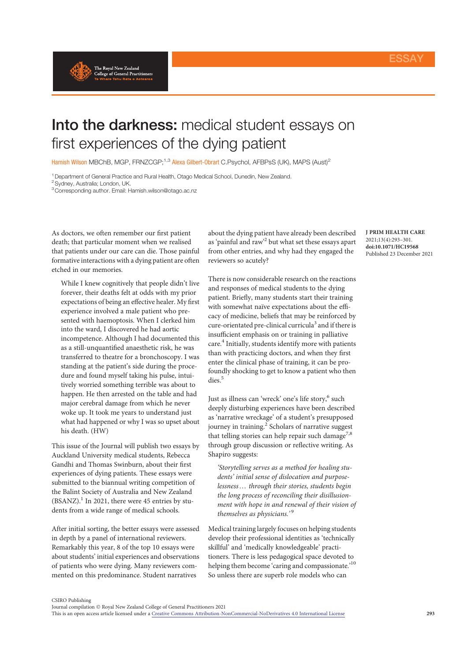

## Into the darkness: medical student essays on first experiences of the dying patient

Hamish Wilson MBChB, MGP, FRNZCGP;<sup>1,3</sup> Alexa Gilbert-Obrart C.Psychol, AFBPsS (UK), MAPS (Aust)<sup>2</sup>

<sup>1</sup> Department of General Practice and Rural Health, Otago Medical School, Dunedin, New Zealand.

<sup>2</sup> Sydney, Australia; London, UK.

3Corresponding author. Email: Hamish.wilson@otago.ac.nz

As doctors, we often remember our first patient death; that particular moment when we realised that patients under our care can die. Those painful formative interactions with a dying patient are often etched in our memories.

While I knew cognitively that people didn't live forever, their deaths felt at odds with my prior expectations of being an effective healer. My first experience involved a male patient who presented with haemoptosis. When I clerked him into the ward, I discovered he had aortic incompetence. Although I had documented this as a still-unquantified anaesthetic risk, he was transferred to theatre for a bronchoscopy. I was standing at the patient's side during the procedure and found myself taking his pulse, intuitively worried something terrible was about to happen. He then arrested on the table and had major cerebral damage from which he never woke up. It took me years to understand just what had happened or why I was so upset about his death. (HW)

This issue of the Journal will publish two essays by Auckland University medical students, Rebecca Gandhi and Thomas Swinburn, about their first experiences of dying patients. These essays were submitted to the biannual writing competition of the Balint Society of Australia and New Zealand  $(BSANZ).<sup>1</sup>$  In 2021, there were 45 entries by students from a wide range of medical schools.

After initial sorting, the better essays were assessed in depth by a panel of international reviewers. Remarkably this year, 8 of the top 10 essays were about students' initial experiences and observations of patients who were dying. Many reviewers commented on this predominance. Student narratives

about the dying patient have already been described as 'painful and raw' <sup>2</sup> but what set these essays apart from other entries, and why had they engaged the reviewers so acutely?

There is now considerable research on the reactions and responses of medical students to the dying patient. Briefly, many students start their training with somewhat naïve expectations about the efficacy of medicine, beliefs that may be reinforced by cure-orientated pre-clinical curricula<sup>3</sup> and if there is insufficient emphasis on or training in palliative care.<sup>4</sup> Initially, students identify more with patients than with practicing doctors, and when they first enter the clinical phase of training, it can be profoundly shocking to get to know a patient who then dies.<sup>5</sup>

Just as illness can 'wreck' one's life story,<sup>6</sup> such deeply disturbing experiences have been described as 'narrative wreckage' of a student's presupposed journey in training.<sup>2</sup> Scholars of narrative suggest that telling stories can help repair such damage<sup>7,8</sup> through group discussion or reflective writing. As Shapiro suggests:

'Storytelling serves as a method for healing students' initial sense of dislocation and purposelessness... through their stories, students begin the long process of reconciling their disillusionment with hope in and renewal of their vision of themselves as physicians.'<sup>9</sup>

Medical training largely focuses on helping students develop their professional identities as 'technically skillful' and 'medically knowledgeable' practitioners. There is less pedagogical space devoted to helping them become 'caring and compassionate.'<sup>10</sup> So unless there are superb role models who can

J PRIM HEALTH CARE 2021;13(4):293–301. doi:10.1071/HC19568 Published 23 December 2021

CSIRO Publishing

Journal compilation  $\odot$  Royal New Zealand College of General Practitioners 2021 This is an open access article licensed under a Creative Commons Attribution-NonCommercial-NoDerivatives 4.0 International License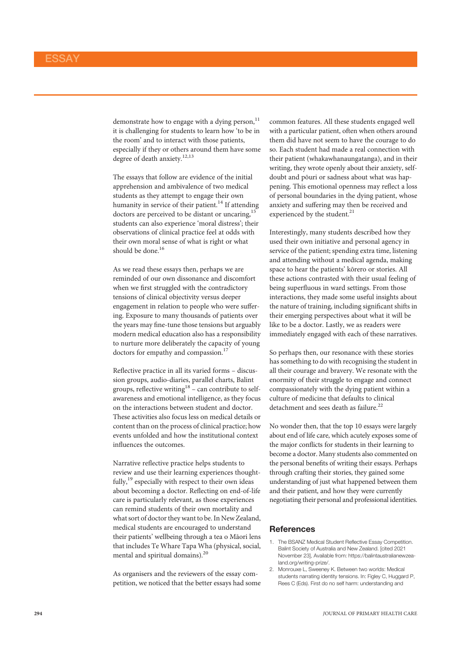demonstrate how to engage with a dying person, $^{11}$ it is challenging for students to learn how 'to be in the room' and to interact with those patients, especially if they or others around them have some degree of death anxiety.<sup>12,13</sup>

The essays that follow are evidence of the initial apprehension and ambivalence of two medical students as they attempt to engage their own humanity in service of their patient.<sup>14</sup> If attending doctors are perceived to be distant or uncaring, $<sup>1</sup>$ </sup> students can also experience 'moral distress'; their observations of clinical practice feel at odds with their own moral sense of what is right or what should be done.<sup>16</sup>

As we read these essays then, perhaps we are reminded of our own dissonance and discomfort when we first struggled with the contradictory tensions of clinical objectivity versus deeper engagement in relation to people who were suffering. Exposure to many thousands of patients over the years may fine-tune those tensions but arguably modern medical education also has a responsibility to nurture more deliberately the capacity of young doctors for empathy and compassion.<sup>17</sup>

Reflective practice in all its varied forms – discussion groups, audio-diaries, parallel charts, Balint groups, reflective writing<sup>18</sup> – can contribute to selfawareness and emotional intelligence, as they focus on the interactions between student and doctor. These activities also focus less on medical details or content than on the process of clinical practice; how events unfolded and how the institutional context influences the outcomes.

Narrative reflective practice helps students to review and use their learning experiences thoughtfully,<sup>19</sup> especially with respect to their own ideas about becoming a doctor. Reflecting on end-of-life care is particularly relevant, as those experiences can remind students of their own mortality and what sort of doctor they want to be. In New Zealand, medical students are encouraged to understand their patients' wellbeing through a tea o Māori lens that includes Te Whare Tapa Wha (physical, social, mental and spiritual domains).<sup>20</sup>

As organisers and the reviewers of the essay competition, we noticed that the better essays had some

common features. All these students engaged well with a particular patient, often when others around them did have not seem to have the courage to do so. Each student had made a real connection with their patient (whakawhanaungatanga), and in their writing, they wrote openly about their anxiety, selfdoubt and pōuri or sadness about what was happening. This emotional openness may reflect a loss of personal boundaries in the dying patient, whose anxiety and suffering may then be received and experienced by the student.<sup>21</sup>

Interestingly, many students described how they used their own initiative and personal agency in service of the patient; spending extra time, listening and attending without a medical agenda, making space to hear the patients' kōrero or stories. All these actions contrasted with their usual feeling of being superfluous in ward settings. From those interactions, they made some useful insights about the nature of training, including significant shifts in their emerging perspectives about what it will be like to be a doctor. Lastly, we as readers were immediately engaged with each of these narratives.

So perhaps then, our resonance with these stories has something to do with recognising the student in all their courage and bravery. We resonate with the enormity of their struggle to engage and connect compassionately with the dying patient within a culture of medicine that defaults to clinical detachment and sees death as failure.<sup>22</sup>

No wonder then, that the top 10 essays were largely about end of life care, which acutely exposes some of the major conflicts for students in their learning to become a doctor. Many students also commented on the personal benefits of writing their essays. Perhaps through crafting their stories, they gained some understanding of just what happened between them and their patient, and how they were currently negotiating their personal and professional identities.

## **References**

- 1. The BSANZ Medical Student Reflective Essay Competition. Balint Society of Australia and New Zealand. [cited 2021 November 23], Available from: https://balintaustralianewzealand.org/writing-prize/.
- 2. Monrouxe L, Sweeney K. Between two worlds: Medical students narrating identity tensions. In: Figley C, Huggard P, Rees C (Eds). First do no self harm: understanding and